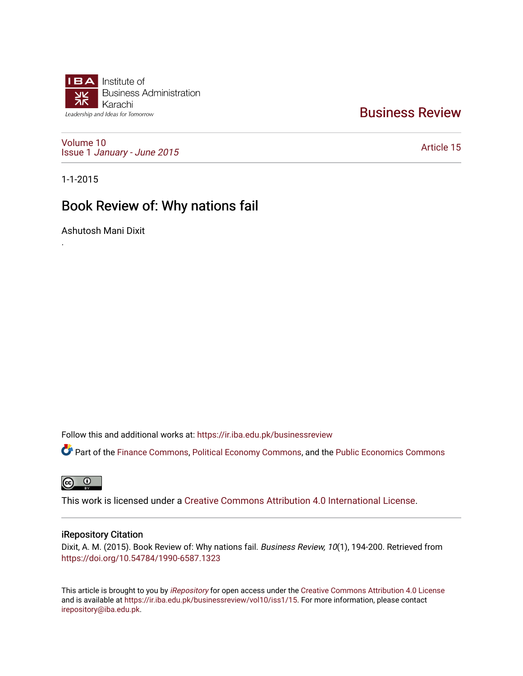

# [Business Review](https://ir.iba.edu.pk/businessreview)

[Volume 10](https://ir.iba.edu.pk/businessreview/vol10) Issue 1 [January - June 2015](https://ir.iba.edu.pk/businessreview/vol10/iss1) 

[Article 15](https://ir.iba.edu.pk/businessreview/vol10/iss1/15) 

1-1-2015

.

# Book Review of: Why nations fail

Ashutosh Mani Dixit

Follow this and additional works at: [https://ir.iba.edu.pk/businessreview](https://ir.iba.edu.pk/businessreview?utm_source=ir.iba.edu.pk%2Fbusinessreview%2Fvol10%2Fiss1%2F15&utm_medium=PDF&utm_campaign=PDFCoverPages) 

**C** Part of the [Finance Commons,](http://network.bepress.com/hgg/discipline/345?utm_source=ir.iba.edu.pk%2Fbusinessreview%2Fvol10%2Fiss1%2F15&utm_medium=PDF&utm_campaign=PDFCoverPages) [Political Economy Commons](http://network.bepress.com/hgg/discipline/352?utm_source=ir.iba.edu.pk%2Fbusinessreview%2Fvol10%2Fiss1%2F15&utm_medium=PDF&utm_campaign=PDFCoverPages), and the [Public Economics Commons](http://network.bepress.com/hgg/discipline/351?utm_source=ir.iba.edu.pk%2Fbusinessreview%2Fvol10%2Fiss1%2F15&utm_medium=PDF&utm_campaign=PDFCoverPages)

**@** 0

This work is licensed under a [Creative Commons Attribution 4.0 International License](https://creativecommons.org/licenses/by/4.0/).

# iRepository Citation

Dixit, A. M. (2015). Book Review of: Why nations fail. Business Review, 10(1), 194-200. Retrieved from <https://doi.org/10.54784/1990-6587.1323>

This article is brought to you by [iRepository](https://ir.iba.edu.pk/) for open access under the Creative Commons Attribution 4.0 License and is available at <https://ir.iba.edu.pk/businessreview/vol10/iss1/15>. For more information, please contact [irepository@iba.edu.pk.](mailto:irepository@iba.edu.pk)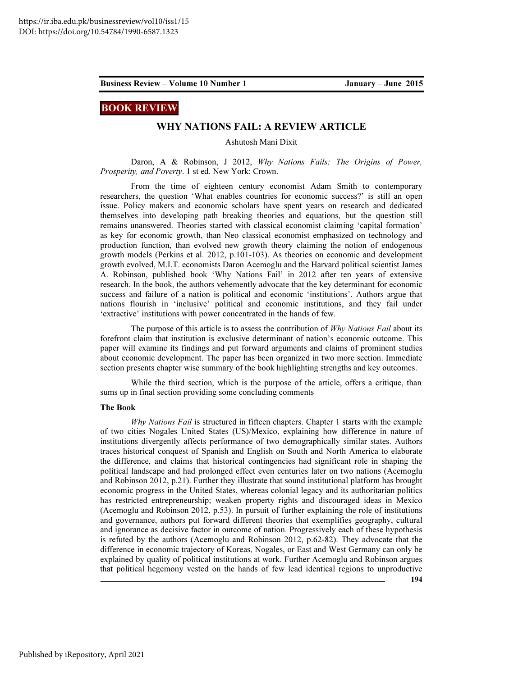## BOOK REVIEW

## WHY NATIONS FAIL: A REVIEW ARTICLE

Ashutosh Mani Dixit

Daron, A & Robinson, J 2012, Why Nations Fails: The Origins of Power, Prosperity, and Poverty. 1 st ed. New York: Crown.

From the time of eighteen century economist Adam Smith to contemporary researchers, the question 'What enables countries for economic success?' is still an open issue. Policy makers and economic scholars have spent years on research and dedicated themselves into developing path breaking theories and equations, but the question still remains unanswered. Theories started with classical economist claiming 'capital formation' as key for economic growth, than Neo classical economist emphasized on technology and production function, than evolved new growth theory claiming the notion of endogenous growth models (Perkins et al. 2012, p.101-103). As theories on economic and development growth evolved, M.I.T. economists Daron Acemoglu and the Harvard political scientist James A. Robinson, published book 'Why Nations Fail' in 2012 after ten years of extensive research. In the book, the authors vehemently advocate that the key determinant for economic success and failure of a nation is political and economic 'institutions'. Authors argue that nations flourish in 'inclusive' political and economic institutions, and they fail under 'extractive' institutions with power concentrated in the hands of few.

The purpose of this article is to assess the contribution of Why Nations Fail about its forefront claim that institution is exclusive determinant of nation's economic outcome. This paper will examine its findings and put forward arguments and claims of prominent studies about economic development. The paper has been organized in two more section. Immediate section presents chapter wise summary of the book highlighting strengths and key outcomes.

While the third section, which is the purpose of the article, offers a critique, than sums up in final section providing some concluding comments

### The Book

Why Nations Fail is structured in fifteen chapters. Chapter 1 starts with the example of two cities Nogales United States (US)/Mexico, explaining how difference in nature of institutions divergently affects performance of two demographically similar states. Authors traces historical conquest of Spanish and English on South and North America to elaborate the difference, and claims that historical contingencies had significant role in shaping the political landscape and had prolonged effect even centuries later on two nations (Acemoglu and Robinson 2012, p.21). Further they illustrate that sound institutional platform has brought economic progress in the United States, whereas colonial legacy and its authoritarian politics has restricted entrepreneurship; weaken property rights and discouraged ideas in Mexico (Acemoglu and Robinson 2012, p.53). In pursuit of further explaining the role of institutions and governance, authors put forward different theories that exemplifies geography, cultural and ignorance as decisive factor in outcome of nation. Progressively each of these hypothesis is refuted by the authors (Acemoglu and Robinson 2012, p.62-82). They advocate that the difference in economic trajectory of Koreas, Nogales, or East and West Germany can only be explained by quality of political institutions at work. Further Acemoglu and Robinson argues that political hegemony vested on the hands of few lead identical regions to unproductive

194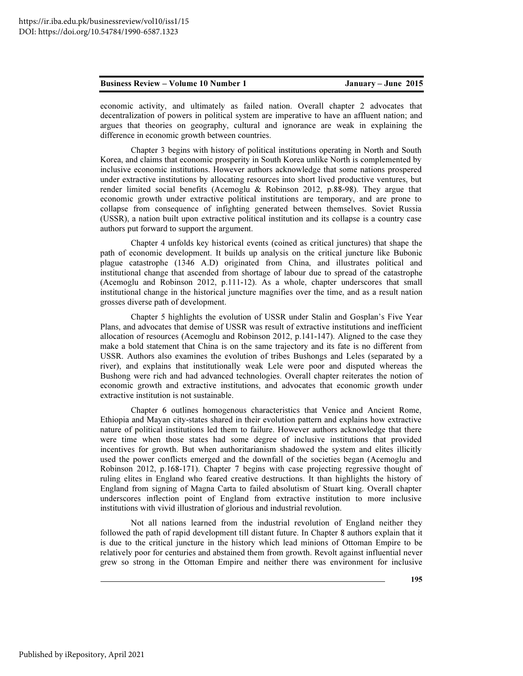economic activity, and ultimately as failed nation. Overall chapter 2 advocates that decentralization of powers in political system are imperative to have an affluent nation; and argues that theories on geography, cultural and ignorance are weak in explaining the difference in economic growth between countries.

Chapter 3 begins with history of political institutions operating in North and South Korea, and claims that economic prosperity in South Korea unlike North is complemented by inclusive economic institutions. However authors acknowledge that some nations prospered under extractive institutions by allocating resources into short lived productive ventures, but render limited social benefits (Acemoglu & Robinson 2012, p.88-98). They argue that economic growth under extractive political institutions are temporary, and are prone to collapse from consequence of infighting generated between themselves. Soviet Russia (USSR), a nation built upon extractive political institution and its collapse is a country case authors put forward to support the argument.

Chapter 4 unfolds key historical events (coined as critical junctures) that shape the path of economic development. It builds up analysis on the critical juncture like Bubonic plague catastrophe (1346 A.D) originated from China, and illustrates political and institutional change that ascended from shortage of labour due to spread of the catastrophe (Acemoglu and Robinson 2012, p.111-12). As a whole, chapter underscores that small institutional change in the historical juncture magnifies over the time, and as a result nation grosses diverse path of development.

Chapter 5 highlights the evolution of USSR under Stalin and Gosplan's Five Year Plans, and advocates that demise of USSR was result of extractive institutions and inefficient allocation of resources (Acemoglu and Robinson 2012, p.141-147). Aligned to the case they make a bold statement that China is on the same trajectory and its fate is no different from USSR. Authors also examines the evolution of tribes Bushongs and Leles (separated by a river), and explains that institutionally weak Lele were poor and disputed whereas the Bushong were rich and had advanced technologies. Overall chapter reiterates the notion of economic growth and extractive institutions, and advocates that economic growth under extractive institution is not sustainable.

Chapter 6 outlines homogenous characteristics that Venice and Ancient Rome, Ethiopia and Mayan city-states shared in their evolution pattern and explains how extractive nature of political institutions led them to failure. However authors acknowledge that there were time when those states had some degree of inclusive institutions that provided incentives for growth. But when authoritarianism shadowed the system and elites illicitly used the power conflicts emerged and the downfall of the societies began (Acemoglu and Robinson 2012, p.168-171). Chapter 7 begins with case projecting regressive thought of ruling elites in England who feared creative destructions. It than highlights the history of England from signing of Magna Carta to failed absolutism of Stuart king. Overall chapter underscores inflection point of England from extractive institution to more inclusive institutions with vivid illustration of glorious and industrial revolution.

Not all nations learned from the industrial revolution of England neither they followed the path of rapid development till distant future. In Chapter 8 authors explain that it is due to the critical juncture in the history which lead minions of Ottoman Empire to be relatively poor for centuries and abstained them from growth. Revolt against influential never grew so strong in the Ottoman Empire and neither there was environment for inclusive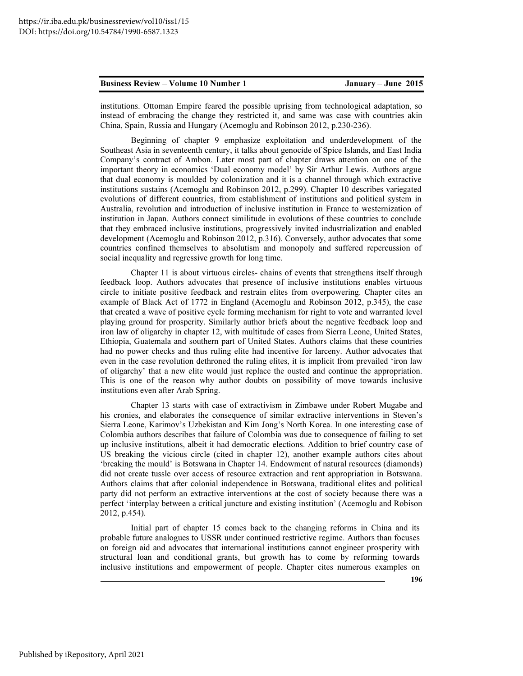institutions. Ottoman Empire feared the possible uprising from technological adaptation, so instead of embracing the change they restricted it, and same was case with countries akin China, Spain, Russia and Hungary (Acemoglu and Robinson 2012, p.230-236).

Beginning of chapter 9 emphasize exploitation and underdevelopment of the Southeast Asia in seventeenth century, it talks about genocide of Spice Islands, and East India Company's contract of Ambon. Later most part of chapter draws attention on one of the important theory in economics 'Dual economy model' by Sir Arthur Lewis. Authors argue that dual economy is moulded by colonization and it is a channel through which extractive institutions sustains (Acemoglu and Robinson 2012, p.299). Chapter 10 describes variegated evolutions of different countries, from establishment of institutions and political system in Australia, revolution and introduction of inclusive institution in France to westernization of institution in Japan. Authors connect similitude in evolutions of these countries to conclude that they embraced inclusive institutions, progressively invited industrialization and enabled development (Acemoglu and Robinson 2012, p.316). Conversely, author advocates that some countries confined themselves to absolutism and monopoly and suffered repercussion of social inequality and regressive growth for long time.

Chapter 11 is about virtuous circles- chains of events that strengthens itself through feedback loop. Authors advocates that presence of inclusive institutions enables virtuous circle to initiate positive feedback and restrain elites from overpowering. Chapter cites an example of Black Act of 1772 in England (Acemoglu and Robinson 2012, p.345), the case that created a wave of positive cycle forming mechanism for right to vote and warranted level playing ground for prosperity. Similarly author briefs about the negative feedback loop and iron law of oligarchy in chapter 12, with multitude of cases from Sierra Leone, United States, Ethiopia, Guatemala and southern part of United States. Authors claims that these countries had no power checks and thus ruling elite had incentive for larceny. Author advocates that even in the case revolution dethroned the ruling elites, it is implicit from prevailed 'iron law of oligarchy' that a new elite would just replace the ousted and continue the appropriation. This is one of the reason why author doubts on possibility of move towards inclusive institutions even after Arab Spring.

Chapter 13 starts with case of extractivism in Zimbawe under Robert Mugabe and his cronies, and elaborates the consequence of similar extractive interventions in Steven's Sierra Leone, Karimov's Uzbekistan and Kim Jong's North Korea. In one interesting case of Colombia authors describes that failure of Colombia was due to consequence of failing to set up inclusive institutions, albeit it had democratic elections. Addition to brief country case of US breaking the vicious circle (cited in chapter 12), another example authors cites about 'breaking the mould' is Botswana in Chapter 14. Endowment of natural resources (diamonds) did not create tussle over access of resource extraction and rent appropriation in Botswana. Authors claims that after colonial independence in Botswana, traditional elites and political party did not perform an extractive interventions at the cost of society because there was a perfect 'interplay between a critical juncture and existing institution' (Acemoglu and Robison 2012, p.454).

Initial part of chapter 15 comes back to the changing reforms in China and its probable future analogues to USSR under continued restrictive regime. Authors than focuses on foreign aid and advocates that international institutions cannot engineer prosperity with structural loan and conditional grants, but growth has to come by reforming towards inclusive institutions and empowerment of people. Chapter cites numerous examples on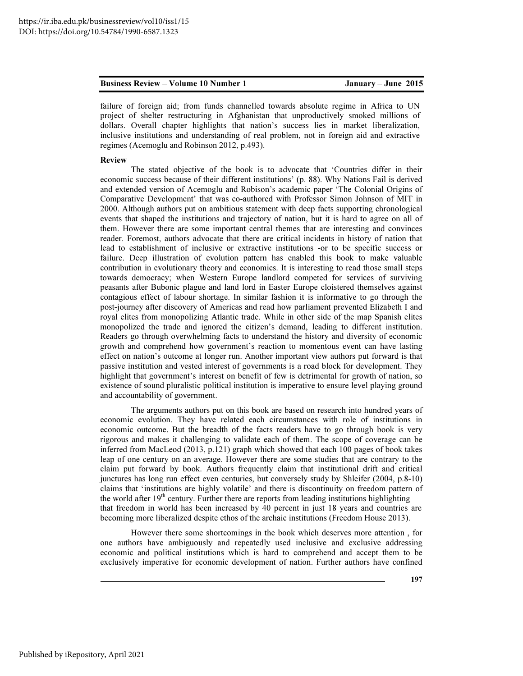failure of foreign aid; from funds channelled towards absolute regime in Africa to UN project of shelter restructuring in Afghanistan that unproductively smoked millions of dollars. Overall chapter highlights that nation's success lies in market liberalization, inclusive institutions and understanding of real problem, not in foreign aid and extractive regimes (Acemoglu and Robinson 2012, p.493).

### Review

The stated objective of the book is to advocate that 'Countries differ in their economic success because of their different institutions' (p. 88). Why Nations Fail is derived and extended version of Acemoglu and Robison's academic paper 'The Colonial Origins of Comparative Development' that was co-authored with Professor Simon Johnson of MIT in 2000. Although authors put on ambitious statement with deep facts supporting chronological events that shaped the institutions and trajectory of nation, but it is hard to agree on all of them. However there are some important central themes that are interesting and convinces reader. Foremost, authors advocate that there are critical incidents in history of nation that lead to establishment of inclusive or extractive institutions -or to be specific success or failure. Deep illustration of evolution pattern has enabled this book to make valuable contribution in evolutionary theory and economics. It is interesting to read those small steps towards democracy; when Western Europe landlord competed for services of surviving peasants after Bubonic plague and land lord in Easter Europe cloistered themselves against contagious effect of labour shortage. In similar fashion it is informative to go through the post-journey after discovery of Americas and read how parliament prevented Elizabeth I and royal elites from monopolizing Atlantic trade. While in other side of the map Spanish elites monopolized the trade and ignored the citizen's demand, leading to different institution. Readers go through overwhelming facts to understand the history and diversity of economic growth and comprehend how government's reaction to momentous event can have lasting effect on nation's outcome at longer run. Another important view authors put forward is that passive institution and vested interest of governments is a road block for development. They highlight that government's interest on benefit of few is detrimental for growth of nation, so existence of sound pluralistic political institution is imperative to ensure level playing ground and accountability of government.

The arguments authors put on this book are based on research into hundred years of economic evolution. They have related each circumstances with role of institutions in economic outcome. But the breadth of the facts readers have to go through book is very rigorous and makes it challenging to validate each of them. The scope of coverage can be inferred from MacLeod (2013, p.121) graph which showed that each 100 pages of book takes leap of one century on an average. However there are some studies that are contrary to the claim put forward by book. Authors frequently claim that institutional drift and critical junctures has long run effect even centuries, but conversely study by Shleifer (2004, p.8-10) claims that 'institutions are highly volatile' and there is discontinuity on freedom pattern of the world after  $19<sup>th</sup>$  century. Further there are reports from leading institutions highlighting that freedom in world has been increased by 40 percent in just 18 years and countries are becoming more liberalized despite ethos of the archaic institutions (Freedom House 2013).

However there some shortcomings in the book which deserves more attention , for one authors have ambiguously and repeatedly used inclusive and exclusive addressing economic and political institutions which is hard to comprehend and accept them to be exclusively imperative for economic development of nation. Further authors have confined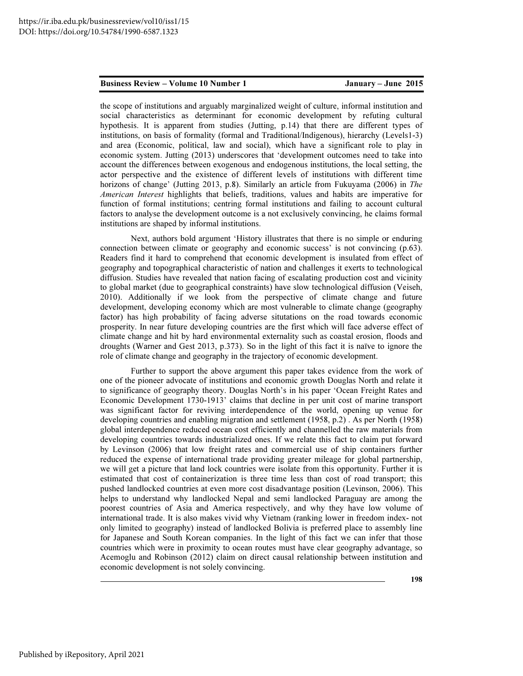the scope of institutions and arguably marginalized weight of culture, informal institution and social characteristics as determinant for economic development by refuting cultural hypothesis. It is apparent from studies (Jutting, p.14) that there are different types of institutions, on basis of formality (formal and Traditional/Indigenous), hierarchy (Levels1-3) and area (Economic, political, law and social), which have a significant role to play in economic system. Jutting (2013) underscores that 'development outcomes need to take into account the differences between exogenous and endogenous institutions, the local setting, the actor perspective and the existence of different levels of institutions with different time horizons of change' (Jutting 2013, p.8). Similarly an article from Fukuyama (2006) in The American Interest highlights that beliefs, traditions, values and habits are imperative for function of formal institutions; centring formal institutions and failing to account cultural factors to analyse the development outcome is a not exclusively convincing, he claims formal institutions are shaped by informal institutions.

Next, authors bold argument 'History illustrates that there is no simple or enduring connection between climate or geography and economic success' is not convincing (p.63). Readers find it hard to comprehend that economic development is insulated from effect of geography and topographical characteristic of nation and challenges it exerts to technological diffusion. Studies have revealed that nation facing of escalating production cost and vicinity to global market (due to geographical constraints) have slow technological diffusion (Veiseh, 2010). Additionally if we look from the perspective of climate change and future development, developing economy which are most vulnerable to climate change (geography factor) has high probability of facing adverse situtations on the road towards economic prosperity. In near future developing countries are the first which will face adverse effect of climate change and hit by hard environmental externality such as coastal erosion, floods and droughts (Warner and Gest 2013, p.373). So in the light of this fact it is naïve to ignore the role of climate change and geography in the trajectory of economic development.

Further to support the above argument this paper takes evidence from the work of one of the pioneer advocate of institutions and economic growth Douglas North and relate it to significance of geography theory. Douglas North's in his paper 'Ocean Freight Rates and Economic Development 1730-1913' claims that decline in per unit cost of marine transport was significant factor for reviving interdependence of the world, opening up venue for developing countries and enabling migration and settlement (1958, p.2) . As per North (1958) global interdependence reduced ocean cost efficiently and channelled the raw materials from developing countries towards industrialized ones. If we relate this fact to claim put forward by Levinson (2006) that low freight rates and commercial use of ship containers further reduced the expense of international trade providing greater mileage for global partnership, we will get a picture that land lock countries were isolate from this opportunity. Further it is estimated that cost of containerization is three time less than cost of road transport; this pushed landlocked countries at even more cost disadvantage position (Levinson, 2006). This helps to understand why landlocked Nepal and semi landlocked Paraguay are among the poorest countries of Asia and America respectively, and why they have low volume of international trade. It is also makes vivid why Vietnam (ranking lower in freedom index- not only limited to geography) instead of landlocked Bolivia is preferred place to assembly line for Japanese and South Korean companies. In the light of this fact we can infer that those countries which were in proximity to ocean routes must have clear geography advantage, so Acemoglu and Robinson (2012) claim on direct causal relationship between institution and economic development is not solely convincing.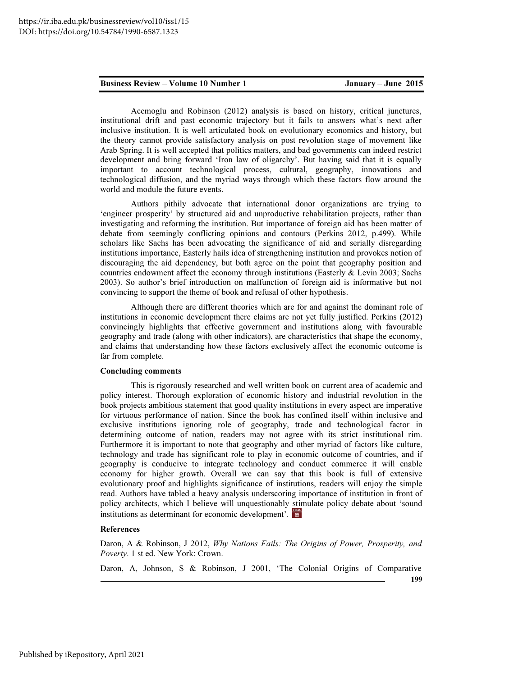Acemoglu and Robinson (2012) analysis is based on history, critical junctures, institutional drift and past economic trajectory but it fails to answers what's next after inclusive institution. It is well articulated book on evolutionary economics and history, but the theory cannot provide satisfactory analysis on post revolution stage of movement like Arab Spring. It is well accepted that politics matters, and bad governments can indeed restrict development and bring forward 'Iron law of oligarchy'. But having said that it is equally important to account technological process, cultural, geography, innovations and technological diffusion, and the myriad ways through which these factors flow around the world and module the future events.

Authors pithily advocate that international donor organizations are trying to 'engineer prosperity' by structured aid and unproductive rehabilitation projects, rather than investigating and reforming the institution. But importance of foreign aid has been matter of debate from seemingly conflicting opinions and contours (Perkins 2012, p.499). While scholars like Sachs has been advocating the significance of aid and serially disregarding institutions importance, Easterly hails idea of strengthening institution and provokes notion of discouraging the aid dependency, but both agree on the point that geography position and countries endowment affect the economy through institutions (Easterly  $&$  Levin 2003; Sachs 2003). So author's brief introduction on malfunction of foreign aid is informative but not convincing to support the theme of book and refusal of other hypothesis.

Although there are different theories which are for and against the dominant role of institutions in economic development there claims are not yet fully justified. Perkins (2012) convincingly highlights that effective government and institutions along with favourable geography and trade (along with other indicators), are characteristics that shape the economy, and claims that understanding how these factors exclusively affect the economic outcome is far from complete.

### Concluding comments

This is rigorously researched and well written book on current area of academic and policy interest. Thorough exploration of economic history and industrial revolution in the book projects ambitious statement that good quality institutions in every aspect are imperative for virtuous performance of nation. Since the book has confined itself within inclusive and exclusive institutions ignoring role of geography, trade and technological factor in determining outcome of nation, readers may not agree with its strict institutional rim. Furthermore it is important to note that geography and other myriad of factors like culture, technology and trade has significant role to play in economic outcome of countries, and if geography is conducive to integrate technology and conduct commerce it will enable economy for higher growth. Overall we can say that this book is full of extensive evolutionary proof and highlights significance of institutions, readers will enjoy the simple read. Authors have tabled a heavy analysis underscoring importance of institution in front of policy architects, which I believe will unquestionably stimulate policy debate about 'sound institutions as determinant for economic development'.

### References

Daron, A & Robinson, J 2012, Why Nations Fails: The Origins of Power, Prosperity, and Poverty. 1 st ed. New York: Crown.

Daron, A, Johnson, S & Robinson, J 2001, 'The Colonial Origins of Comparative

199